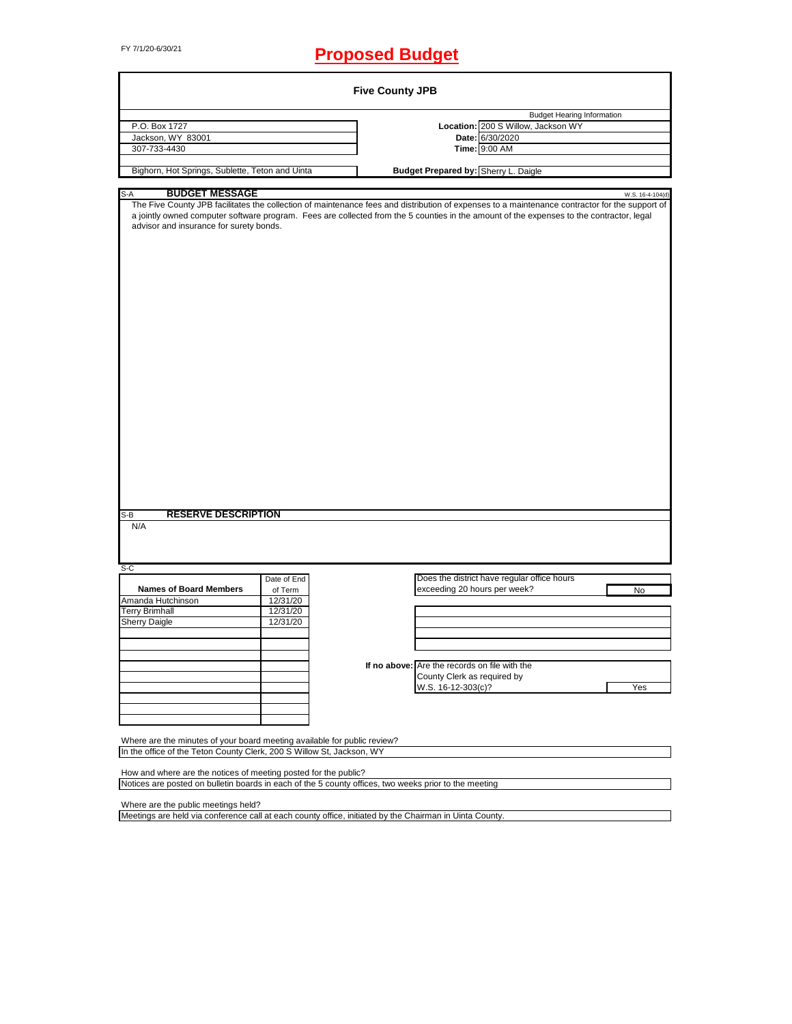# FY 7/1/20-6/30/21 **Proposed Budget**

|                                                                                                                                                                                                                                                                                                                                                                                                                            |                      | <b>Five County JPB</b> |                                               |                                             |                  |
|----------------------------------------------------------------------------------------------------------------------------------------------------------------------------------------------------------------------------------------------------------------------------------------------------------------------------------------------------------------------------------------------------------------------------|----------------------|------------------------|-----------------------------------------------|---------------------------------------------|------------------|
|                                                                                                                                                                                                                                                                                                                                                                                                                            |                      |                        |                                               | <b>Budget Hearing Information</b>           |                  |
| P.O. Box 1727                                                                                                                                                                                                                                                                                                                                                                                                              |                      |                        |                                               | Location: 200 S Willow, Jackson WY          |                  |
| Jackson, WY 83001                                                                                                                                                                                                                                                                                                                                                                                                          |                      |                        |                                               | Date: 6/30/2020                             |                  |
| 307-733-4430                                                                                                                                                                                                                                                                                                                                                                                                               |                      |                        |                                               | Time: 9:00 AM                               |                  |
| Bighorn, Hot Springs, Sublette, Teton and Uinta                                                                                                                                                                                                                                                                                                                                                                            |                      |                        | Budget Prepared by: Sherry L. Daigle          |                                             |                  |
|                                                                                                                                                                                                                                                                                                                                                                                                                            |                      |                        |                                               |                                             |                  |
| <b>BUDGET MESSAGE</b><br>S-A<br>The Five County JPB facilitates the collection of maintenance fees and distribution of expenses to a maintenance contractor for the support of<br>a jointly owned computer software program. Fees are collected from the 5 counties in the amount of the expenses to the contractor, legal<br>advisor and insurance for surety bonds.<br><b>RESERVE DESCRIPTION</b><br>S-B<br>N/A<br>$S-C$ |                      |                        |                                               |                                             | W.S. 16-4-104(d) |
|                                                                                                                                                                                                                                                                                                                                                                                                                            | Date of End          |                        |                                               | Does the district have regular office hours |                  |
| <b>Names of Board Members</b>                                                                                                                                                                                                                                                                                                                                                                                              | of Term              |                        | exceeding 20 hours per week?                  |                                             | No               |
| Amanda Hutchinson<br><b>Terry Brimhall</b>                                                                                                                                                                                                                                                                                                                                                                                 | 12/31/20<br>12/31/20 |                        |                                               |                                             |                  |
| <b>Sherry Daigle</b>                                                                                                                                                                                                                                                                                                                                                                                                       | 12/31/20             |                        |                                               |                                             |                  |
|                                                                                                                                                                                                                                                                                                                                                                                                                            |                      |                        |                                               |                                             |                  |
|                                                                                                                                                                                                                                                                                                                                                                                                                            |                      |                        |                                               |                                             |                  |
|                                                                                                                                                                                                                                                                                                                                                                                                                            |                      |                        |                                               |                                             |                  |
|                                                                                                                                                                                                                                                                                                                                                                                                                            |                      |                        | If no above: Are the records on file with the |                                             |                  |
|                                                                                                                                                                                                                                                                                                                                                                                                                            |                      |                        | County Clerk as required by                   |                                             |                  |
|                                                                                                                                                                                                                                                                                                                                                                                                                            |                      |                        | W.S. 16-12-303(c)?                            |                                             | Yes              |
|                                                                                                                                                                                                                                                                                                                                                                                                                            |                      |                        |                                               |                                             |                  |
|                                                                                                                                                                                                                                                                                                                                                                                                                            |                      |                        |                                               |                                             |                  |
| Where are the minutes of your board meeting available for public review?                                                                                                                                                                                                                                                                                                                                                   |                      |                        |                                               |                                             |                  |
| In the office of the Teton County Clerk, 200 S Willow St, Jackson, WY                                                                                                                                                                                                                                                                                                                                                      |                      |                        |                                               |                                             |                  |
| How and where are the notices of meeting posted for the public?                                                                                                                                                                                                                                                                                                                                                            |                      |                        |                                               |                                             |                  |
| Notices are posted on bulletin boards in each of the 5 county offices, two weeks prior to the meeting                                                                                                                                                                                                                                                                                                                      |                      |                        |                                               |                                             |                  |
| Where are the public meetings held?<br>Meetings are held via conference call at each county office, initiated by the Chairman in Uinta County.                                                                                                                                                                                                                                                                             |                      |                        |                                               |                                             |                  |
|                                                                                                                                                                                                                                                                                                                                                                                                                            |                      |                        |                                               |                                             |                  |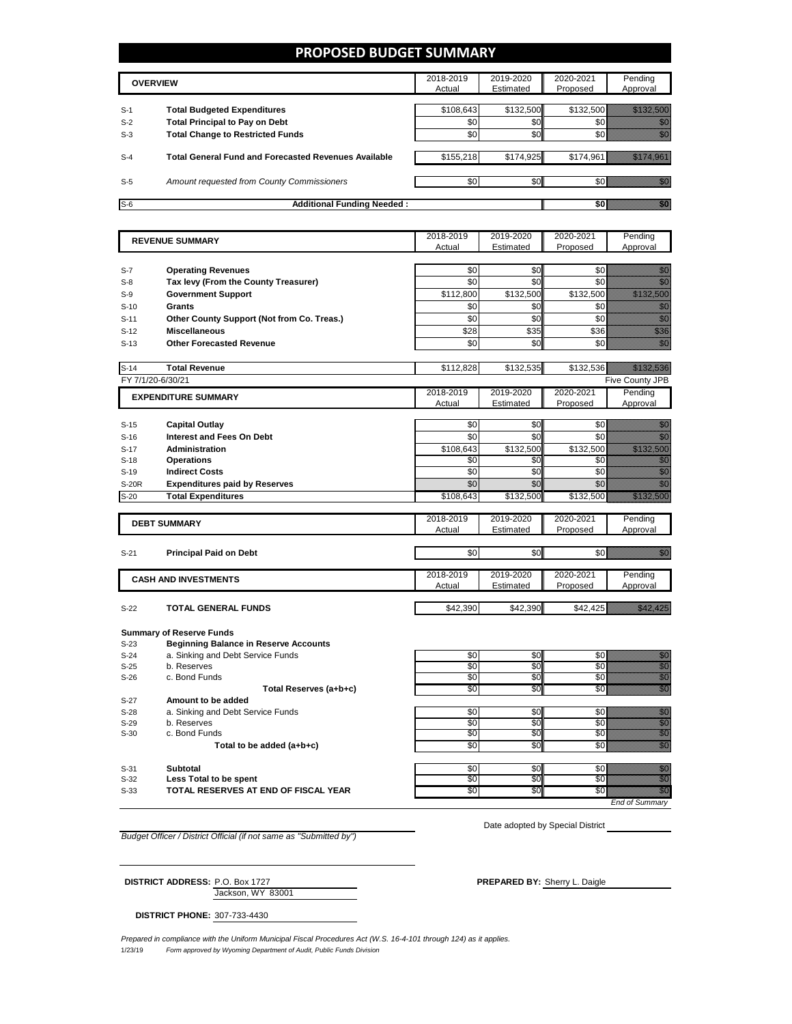### **PROPOSED BUDGET SUMMARY**

|       | <b>OVERVIEW</b>                                             | 2018-2019<br>Actual | 2019-2020<br>Estimated | 2020-2021<br>Proposed | Pending<br>Approval |
|-------|-------------------------------------------------------------|---------------------|------------------------|-----------------------|---------------------|
| $S-1$ | <b>Total Budgeted Expenditures</b>                          | \$108,643           | \$132,500              |                       | \$132,500           |
| $S-2$ | <b>Total Principal to Pay on Debt</b>                       | \$0                 | \$0                    |                       |                     |
| $S-3$ | <b>Total Change to Restricted Funds</b>                     | \$0                 | \$0                    |                       |                     |
| $S-4$ | <b>Total General Fund and Forecasted Revenues Available</b> | \$155,218           | \$174,925              | \$174.961             |                     |
| $S-5$ | <b>Amount requested from County Commissioners</b>           | \$0                 | \$0 <sub>1</sub>       |                       |                     |
| $S-6$ | <b>Additional Funding Needed:</b>                           |                     |                        |                       |                     |

|                   | <b>REVENUE SUMMARY</b>                           | 2018-2019       | 2019-2020  | 2020-2021  | Pending                                                                                                                                                                                                                              |
|-------------------|--------------------------------------------------|-----------------|------------|------------|--------------------------------------------------------------------------------------------------------------------------------------------------------------------------------------------------------------------------------------|
|                   |                                                  | Actual          | Estimated  | Proposed   | Approval                                                                                                                                                                                                                             |
|                   |                                                  |                 |            |            |                                                                                                                                                                                                                                      |
| $S-7$             | <b>Operating Revenues</b>                        | \$0             | \$0        | \$0        | en de la filo<br>Maria                                                                                                                                                                                                               |
| $S-8$             | Tax levy (From the County Treasurer)             | \$0             | \$0        | \$0        | en de la familie de la familie de la familie de la familie de la familie de la familie de la familie de la fa<br>Construction de la familie de la familie de la familie de la familie de la familie de la familie de la familie      |
| $S-9$             | <b>Government Support</b>                        | \$112,800       | \$132,500  | \$132,500  | <u> Kalendari Sa</u>                                                                                                                                                                                                                 |
| $S-10$            | <b>Grants</b>                                    | \$0             | \$0        | \$0        | en en de la familie de la familie de la familie de la familie de la familie de la familie de la familie de la<br>Construction de la familie de la familie de la familie de la familie de la familie de la familie de la familie      |
| $S-11$            | Other County Support (Not from Co. Treas.)       | \$0             | \$0        | \$0        | en en de la familie de la familie de la familie de la familie de la familie de la familie de la familie de la<br>Constitution de la familie de la familie de la familie de la familie de la familie de la familie de la familie      |
| $S-12$            | <b>Miscellaneous</b>                             | \$28            | \$35       | \$36       | en de la facta de la facta de la facta de la facta de la facta de la facta de la facta de la facta de la facta<br>Espaina de la facta de la facta de la facta de la facta de la facta de la facta de la facta de la facta de la      |
| $S-13$            | <b>Other Forecasted Revenue</b>                  | \$0             | \$0        | \$0        | en de la familie de la familie de la familie de la familie de la familie de la familie de la familie de la fa<br>Construction de la familie de la familie de la familie de la familie de la familie de la familie de la familie      |
|                   |                                                  |                 |            |            |                                                                                                                                                                                                                                      |
| $S-14$            | <b>Total Revenue</b>                             | \$112,828       | \$132,535  | \$132,536  | a katika katika katika katika katika katika katika katika katika katika katika katika katika katika katika kat<br>Katika katika katika katika katika katika katika katika katika katika katika katika katika katika katika katik     |
| FY 7/1/20-6/30/21 |                                                  |                 |            |            | Five County JPB                                                                                                                                                                                                                      |
|                   | <b>EXPENDITURE SUMMARY</b>                       | 2018-2019       | 2019-2020  | 2020-2021  | Pending                                                                                                                                                                                                                              |
|                   |                                                  | Actual          | Estimated  | Proposed   | Approval                                                                                                                                                                                                                             |
|                   |                                                  |                 |            |            |                                                                                                                                                                                                                                      |
| $S-15$            | <b>Capital Outlay</b>                            | \$0             | \$0        | \$0        | general<br>Manazarta                                                                                                                                                                                                                 |
| $S-16$            | Interest and Fees On Debt                        | $\overline{30}$ | \$0        | \$0        | en de la familie de la familie de la familie de la familie de la familie de la familie de la familie de la fa<br>Constituit de la familie de la familie de la familie de la familie de la familie de la familie de la familie d      |
| $S-17$            | <b>Administration</b>                            | \$108,643       | \$132,500  | \$132,500  | <u> Maria Maria I</u>                                                                                                                                                                                                                |
| $S-18$            | <b>Operations</b>                                | \$0             | \$0        | \$0        | e de la construcción de la construcción de la construcción de la construcción de la construcción de la constru                                                                                                                       |
| $S-19$            | <b>Indirect Costs</b>                            | \$0             | \$0        | \$0        |                                                                                                                                                                                                                                      |
| <b>S-20R</b>      | <b>Expenditures paid by Reserves</b>             | \$0             | \$0        | \$0        | en de la falsa<br>Maria de la falsa de la falsa de la falsa de la falsa de la falsa de la falsa de la falsa de la                                                                                                                    |
| $S-20$            | <b>Total Expenditures</b>                        | \$108,643       | \$132,500  | \$132,500  | <u>Marata Se</u>                                                                                                                                                                                                                     |
|                   |                                                  | 2018-2019       | 2019-2020  | 2020-2021  | Pending                                                                                                                                                                                                                              |
|                   | <b>DEBT SUMMARY</b>                              | Actual          | Estimated  | Proposed   | Approval                                                                                                                                                                                                                             |
|                   |                                                  |                 |            |            |                                                                                                                                                                                                                                      |
| $S-21$            | <b>Principal Paid on Debt</b>                    | \$0             | \$0        | \$0        | <u>film</u>                                                                                                                                                                                                                          |
|                   |                                                  |                 |            |            |                                                                                                                                                                                                                                      |
|                   | <b>CASH AND INVESTMENTS</b>                      | 2018-2019       | 2019-2020  | 2020-2021  | Pending                                                                                                                                                                                                                              |
|                   |                                                  | Actual          | Estimated  | Proposed   | Approval                                                                                                                                                                                                                             |
|                   |                                                  |                 |            |            |                                                                                                                                                                                                                                      |
| $S-22$            | <b>TOTAL GENERAL FUNDS</b>                       | \$42,390        | \$42,390   | \$42,425   | <u>istorial politik</u>                                                                                                                                                                                                              |
|                   |                                                  |                 |            |            |                                                                                                                                                                                                                                      |
|                   | <b>Summary of Reserve Funds</b>                  |                 |            |            |                                                                                                                                                                                                                                      |
| $S-23$            | <b>Beginning Balance in Reserve Accounts</b>     |                 |            |            |                                                                                                                                                                                                                                      |
| $S-24$            | a. Sinking and Debt Service Funds<br>b. Reserves | \$0<br>\$0      | \$0<br>\$0 | \$0<br>\$0 | e di construction de la construction de la construction de la construction de la construction de la constructi<br>Construction de la construction de la construction de la construction de la construction de la construction d<br>C |
| $S-25$<br>$S-26$  | c. Bond Funds                                    | \$0             | \$0        | \$0        | en de la familie de la familie de la familie de la familie de la familie de la familie de la familie de la fam<br>Concelho de la familie de la familie de la familie de la familie de la familie de la familie de la familie de      |
|                   | Total Reserves (a+b+c)                           | \$0             | \$0        | \$0        |                                                                                                                                                                                                                                      |
| $S-27$            | Amount to be added                               |                 |            |            |                                                                                                                                                                                                                                      |
| $S-28$            | a. Sinking and Debt Service Funds                | \$0             | \$0        | \$0        | en de la filosofia<br>Altres de la filòlogía                                                                                                                                                                                         |
| $S-29$            | b. Reserves                                      | \$0             | \$0        | \$0        | enni<br>Mille                                                                                                                                                                                                                        |
| $S-30$            | c. Bond Funds                                    | \$0             | \$0        | \$0        | an dhe                                                                                                                                                                                                                               |
|                   |                                                  |                 |            |            |                                                                                                                                                                                                                                      |
|                   |                                                  | \$0             | \$0        | \$0        |                                                                                                                                                                                                                                      |
|                   | Total to be added (a+b+c)                        |                 |            |            | en de la filosofia<br>Altres de la filòl                                                                                                                                                                                             |

S-32 **Less Total to be spent** \$0 \$0 \$0 \$0 TOTAL RESERVES AT END OF FISCAL YEAR **TOTAL RESERVES AT END OF FISCAL YEAR** 

*End of Summa* 

*Budget Officer / District Official (if not same as "Submitted by")*

Date adopted by Special District

Jackson, WY 83001 **DISTRICT ADDRESS:** P.O. Box 1727 **PREPARED BY:** Sherry L. Daigle

**DISTRICT PHONE:** 307-733-4430

1/23/19 *Form approved by Wyoming Department of Audit, Public Funds Division Prepared in compliance with the Uniform Municipal Fiscal Procedures Act (W.S. 16-4-101 through 124) as it applies.*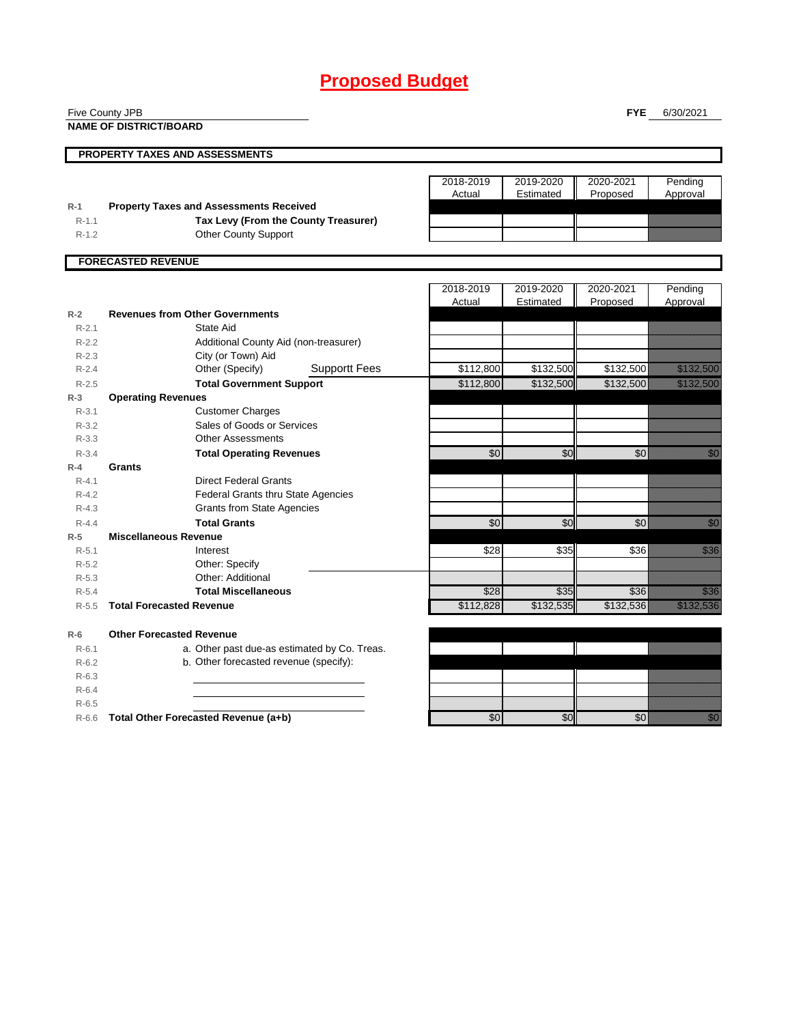## **Proposed Budget**

|                      | Five County JPB                                               |           |                 | <b>FYE</b> | 6/30/2021                                                                                                                                                                                                                        |
|----------------------|---------------------------------------------------------------|-----------|-----------------|------------|----------------------------------------------------------------------------------------------------------------------------------------------------------------------------------------------------------------------------------|
|                      | <b>NAME OF DISTRICT/BOARD</b>                                 |           |                 |            |                                                                                                                                                                                                                                  |
|                      |                                                               |           |                 |            |                                                                                                                                                                                                                                  |
|                      | <b>PROPERTY TAXES AND ASSESSMENTS</b>                         |           |                 |            |                                                                                                                                                                                                                                  |
|                      |                                                               | 2018-2019 | 2019-2020       | 2020-2021  | Pending                                                                                                                                                                                                                          |
|                      |                                                               | Actual    | Estimated       | Proposed   | Approval                                                                                                                                                                                                                         |
| $R-1$                | <b>Property Taxes and Assessments Received</b>                |           |                 |            |                                                                                                                                                                                                                                  |
| $R-1.1$              | Tax Levy (From the County Treasurer)                          |           |                 |            |                                                                                                                                                                                                                                  |
| $R-1.2$              | <b>Other County Support</b>                                   |           |                 |            |                                                                                                                                                                                                                                  |
|                      |                                                               |           |                 |            |                                                                                                                                                                                                                                  |
|                      | <b>FORECASTED REVENUE</b>                                     |           |                 |            |                                                                                                                                                                                                                                  |
|                      |                                                               |           |                 |            |                                                                                                                                                                                                                                  |
|                      |                                                               | 2018-2019 | 2019-2020       | 2020-2021  | Pending                                                                                                                                                                                                                          |
|                      |                                                               | Actual    | Estimated       | Proposed   | Approval                                                                                                                                                                                                                         |
| $R-2$                | <b>Revenues from Other Governments</b>                        |           |                 |            |                                                                                                                                                                                                                                  |
| $R - 2.1$            | State Aid                                                     |           |                 |            |                                                                                                                                                                                                                                  |
| $R-2.2$              | Additional County Aid (non-treasurer)                         |           |                 |            |                                                                                                                                                                                                                                  |
| $R-2.3$<br>$R - 2.4$ | City (or Town) Aid<br><b>Supportt Fees</b><br>Other (Specify) | \$112,800 | \$132,500       | \$132,500  | <u> Kabupatèn Tanah Bandaran Sura</u>                                                                                                                                                                                            |
|                      |                                                               | \$112,800 | \$132,500       | \$132,500  | <u> Elittilitäksissä</u>                                                                                                                                                                                                         |
| $R-2.5$<br>$R-3$     | <b>Total Government Support</b><br><b>Operating Revenues</b>  |           |                 |            |                                                                                                                                                                                                                                  |
| $R - 3.1$            | <b>Customer Charges</b>                                       |           |                 |            |                                                                                                                                                                                                                                  |
| $R - 3.2$            | Sales of Goods or Services                                    |           |                 |            |                                                                                                                                                                                                                                  |
| $R - 3.3$            | <b>Other Assessments</b>                                      |           |                 |            |                                                                                                                                                                                                                                  |
| $R - 3.4$            | <b>Total Operating Revenues</b>                               | \$0       | $\overline{50}$ | \$0        | en de la familie de la familie de la familie de la familie de la familie de la familie de la familie de la fam<br>De la familie de la familie de la familie de la familie de la familie de la familie de la familie de la famili |
| $R-4$                | Grants                                                        |           |                 |            |                                                                                                                                                                                                                                  |
| $R - 4.1$            | <b>Direct Federal Grants</b>                                  |           |                 |            |                                                                                                                                                                                                                                  |
| $R - 4.2$            | <b>Federal Grants thru State Agencies</b>                     |           |                 |            |                                                                                                                                                                                                                                  |
| $R - 4.3$            | <b>Grants from State Agencies</b>                             |           |                 |            |                                                                                                                                                                                                                                  |
| $R - 4.4$            | <b>Total Grants</b>                                           | \$0       | \$0             | \$0        | en de la familie de la familie de la familie de la familie de la familie de la familie de la familie de la fa<br>Espainia                                                                                                        |
| $R-5$                | <b>Miscellaneous Revenue</b>                                  |           |                 |            |                                                                                                                                                                                                                                  |
| $R - 5.1$            | Interest                                                      | \$28      | \$35            | \$36       | a katika katika katika katika ali                                                                                                                                                                                                |
| $R-5.2$              | Other: Specify                                                |           |                 |            |                                                                                                                                                                                                                                  |
| $R - 5.3$            | Other: Additional                                             |           |                 |            |                                                                                                                                                                                                                                  |
| $R - 5.4$            | <b>Total Miscellaneous</b>                                    | \$28      | \$35            | \$36       | <u>ti Milli</u>                                                                                                                                                                                                                  |
| $R - 5.5$            | <b>Total Forecasted Revenue</b>                               | \$112,828 | \$132,535       | \$132,536  | <u>Tallin kallendari k</u>                                                                                                                                                                                                       |
| $R-6$                | <b>Other Forecasted Revenue</b>                               |           |                 |            |                                                                                                                                                                                                                                  |
| $R - 6.1$            | a. Other past due-as estimated by Co. Treas.                  |           |                 |            |                                                                                                                                                                                                                                  |
| $R-6.2$              | b. Other forecasted revenue (specify):                        |           |                 |            |                                                                                                                                                                                                                                  |
| $R-6.3$              |                                                               |           |                 |            |                                                                                                                                                                                                                                  |
| $R - 6.4$            |                                                               |           |                 |            |                                                                                                                                                                                                                                  |
| $R-6.5$              |                                                               |           |                 |            |                                                                                                                                                                                                                                  |
| $R-6.6$              | Total Other Forecasted Revenue (a+b)                          | \$0       | \$0             | \$0        | en de la familie de la familie de la familie de la familie de la familie de la familie de la familie de la fa<br>Constitution de la familie de la familie de la familie de la familie de la familie de la familie de la familie  |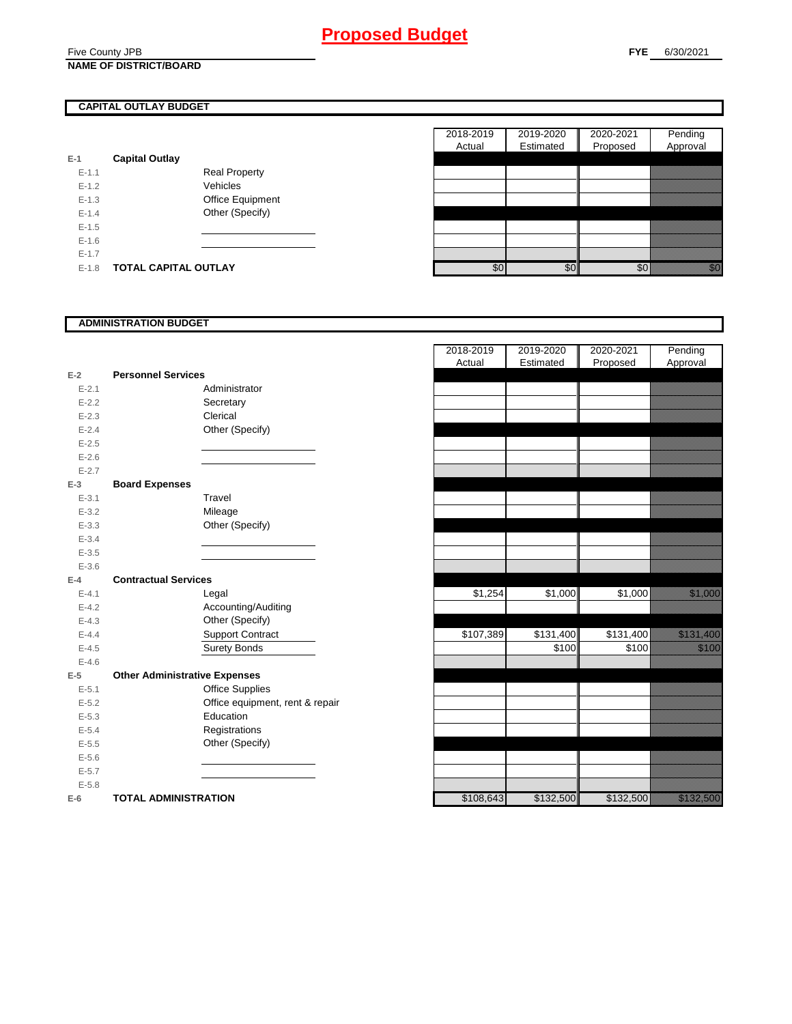#### Five County JPB **NAME OF DISTRICT/BOARD**

### **CAPITAL OUTLAY BUDGET**

| E-1       | <b>Capital Outlay</b>       |                         |
|-----------|-----------------------------|-------------------------|
| $E - 1.1$ |                             | <b>Real Property</b>    |
| $F-12$    |                             | Vehicles                |
| $F-1.3$   |                             | <b>Office Equipment</b> |
| $F-14$    |                             | Other (Specify)         |
| $F-1.5$   |                             |                         |
| $F-16$    |                             |                         |
| $F-17$    |                             |                         |
| $E - 1.8$ | <b>TOTAL CAPITAL OUTLAY</b> |                         |

|           |                             |                  | 2018-2019 | 2019-2020 | 2020-2021 | Pending  |
|-----------|-----------------------------|------------------|-----------|-----------|-----------|----------|
|           |                             |                  | Actual    | Estimated | Proposed  | Approval |
|           | <b>Capital Outlay</b>       |                  |           |           |           |          |
| $E-1.1$   | <b>Real Property</b>        |                  |           |           |           |          |
| $E-1.2$   | Vehicles                    |                  |           |           |           |          |
| $E-1.3$   |                             | Office Equipment |           |           |           |          |
| $E - 1.4$ |                             | Other (Specify)  |           |           |           |          |
| $E-1.5$   |                             |                  |           |           |           |          |
| $E-1.6$   |                             |                  |           |           |           |          |
| $E - 1.7$ |                             |                  |           |           |           |          |
| $E-1.8$   | <b>TOTAL CAPITAL OUTLAY</b> |                  | \$0       | \$0       | \$0       | an dhe   |

### **ADMINISTRATION BUDGET**

| $E-2$     | <b>Personnel Services</b>            |                                 |
|-----------|--------------------------------------|---------------------------------|
| $E - 2.1$ |                                      | Administrator                   |
| $E - 2.2$ |                                      | Secretary                       |
| $E - 2.3$ |                                      | Clerical                        |
| $E - 2.4$ |                                      | Other (Specify)                 |
| $E - 2.5$ |                                      |                                 |
| $E - 2.6$ |                                      |                                 |
| $E - 2.7$ |                                      |                                 |
| $E-3$     | <b>Board Expenses</b>                |                                 |
| $E - 3.1$ |                                      | Travel                          |
| $E - 3.2$ |                                      | Mileage                         |
| $E - 3.3$ |                                      | Other (Specify)                 |
| $E - 3.4$ |                                      |                                 |
| $E - 3.5$ |                                      |                                 |
| $E - 3.6$ |                                      |                                 |
| $F-4$     | <b>Contractual Services</b>          |                                 |
| $E - 4.1$ |                                      | Legal                           |
| $E-4.2$   |                                      | Accounting/Auditing             |
| $E - 4.3$ |                                      | Other (Specify)                 |
| $E - 4.4$ |                                      | <b>Support Contract</b>         |
| $E - 4.5$ |                                      | <b>Surety Bonds</b>             |
| $E - 4.6$ |                                      |                                 |
| $E-5$     | <b>Other Administrative Expenses</b> |                                 |
| $E - 5.1$ |                                      | <b>Office Supplies</b>          |
| $E - 5.2$ |                                      | Office equipment, rent & repair |
| $E - 5.3$ |                                      | Education                       |
| $E - 5.4$ |                                      | Registrations                   |
| $E - 5.5$ |                                      | Other (Specify)                 |
| $E - 5.6$ |                                      |                                 |
| $E - 5.7$ |                                      |                                 |
| $E - 5.8$ |                                      |                                 |
| E-6       | <b>TOTAL ADMINISTRATION</b>          |                                 |

|           |                                      | 2018-2019<br>Actual | 2019-2020<br>Estimated | 2020-2021<br>Proposed | Pending<br>Approval                                                                                            |
|-----------|--------------------------------------|---------------------|------------------------|-----------------------|----------------------------------------------------------------------------------------------------------------|
| $E-2$     | <b>Personnel Services</b>            |                     |                        |                       |                                                                                                                |
| $E - 2.1$ | Administrator                        |                     |                        |                       |                                                                                                                |
| $E - 2.2$ | Secretary                            |                     |                        |                       |                                                                                                                |
| $E - 2.3$ | Clerical                             |                     |                        |                       |                                                                                                                |
| $E - 2.4$ | Other (Specify)                      |                     |                        |                       |                                                                                                                |
| $E - 2.5$ |                                      |                     |                        |                       |                                                                                                                |
| $E-2.6$   |                                      |                     |                        |                       |                                                                                                                |
| $E - 2.7$ |                                      |                     |                        |                       |                                                                                                                |
| $E-3$     | <b>Board Expenses</b>                |                     |                        |                       |                                                                                                                |
| $E - 3.1$ | Travel                               |                     |                        |                       |                                                                                                                |
| $E - 3.2$ | Mileage                              |                     |                        |                       |                                                                                                                |
| $E - 3.3$ | Other (Specify)                      |                     |                        |                       |                                                                                                                |
| $E - 3.4$ |                                      |                     |                        |                       |                                                                                                                |
| $E - 3.5$ |                                      |                     |                        |                       |                                                                                                                |
| $E - 3.6$ |                                      |                     |                        |                       |                                                                                                                |
| $E-4$     | <b>Contractual Services</b>          |                     |                        |                       |                                                                                                                |
| $E - 4.1$ | Legal                                | \$1,254             | \$1,000                | \$1,000               | <u>tinggi sa</u>                                                                                               |
| $E - 4.2$ | Accounting/Auditing                  |                     |                        |                       |                                                                                                                |
| $E - 4.3$ | Other (Specify)                      |                     |                        |                       |                                                                                                                |
| $E - 4.4$ | <b>Support Contract</b>              | \$107,389           | \$131,400              | \$131,400             | a katalunggal sa katalunggal sa katalunggal sa katalunggal sa katalunggal sa katalunggal sa katalunggal sa kat |
| $E - 4.5$ | Surety Bonds                         |                     | \$100                  | \$100                 | <u>ti ka</u>                                                                                                   |
| $E - 4.6$ |                                      |                     |                        |                       |                                                                                                                |
| $E-5$     | <b>Other Administrative Expenses</b> |                     |                        |                       |                                                                                                                |
| $E - 5.1$ | <b>Office Supplies</b>               |                     |                        |                       |                                                                                                                |
| $E - 5.2$ | Office equipment, rent & repair      |                     |                        |                       |                                                                                                                |
| $E - 5.3$ | Education                            |                     |                        |                       |                                                                                                                |
| $E - 5.4$ | Registrations                        |                     |                        |                       |                                                                                                                |
| $E-5.5$   | Other (Specify)                      |                     |                        |                       |                                                                                                                |
| $E - 5.6$ |                                      |                     |                        |                       |                                                                                                                |
| $E - 5.7$ |                                      |                     |                        |                       |                                                                                                                |
| $E - 5.8$ |                                      |                     |                        |                       |                                                                                                                |
| $E-6$     | <b>TOTAL ADMINISTRATION</b>          | \$108,643           | \$132,500              | \$132,500             | <u>eli kulturalari ko</u>                                                                                      |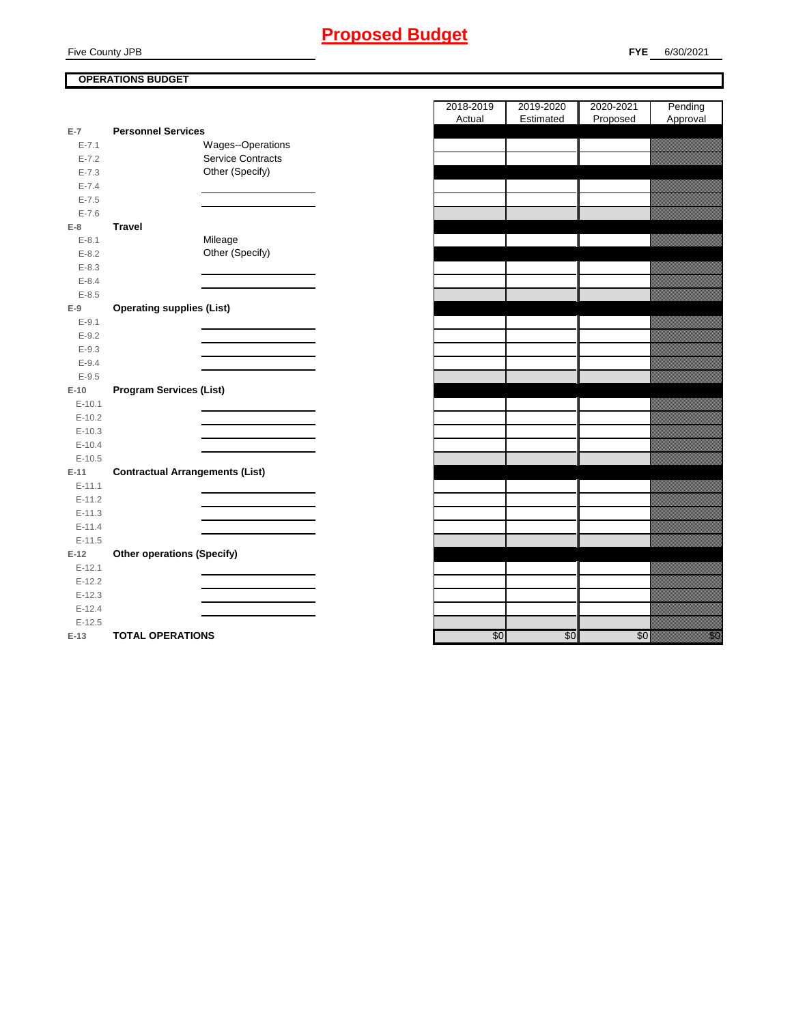### **FYE** 6/30/2021

### **OPERATIONS BUDGET**

|           |                                        | <b>Actual</b> | <b>Estimated</b> | <b>Proposed</b><br>Ш | Approval                |
|-----------|----------------------------------------|---------------|------------------|----------------------|-------------------------|
| $E-7$     | <b>Personnel Services</b>              |               |                  |                      |                         |
| $E - 7.1$ | Wages--Operations                      |               |                  |                      |                         |
| $E - 7.2$ | <b>Service Contracts</b>               |               |                  |                      |                         |
| $E - 7.3$ | Other (Specify)                        |               |                  |                      |                         |
| $E - 7.4$ |                                        |               |                  |                      |                         |
| $E - 7.5$ |                                        |               |                  |                      |                         |
| $E - 7.6$ |                                        |               |                  |                      |                         |
| $E-8$     | <b>Travel</b>                          |               |                  |                      |                         |
| $E - 8.1$ | Mileage                                |               |                  |                      |                         |
| $E - 8.2$ | Other (Specify)                        |               |                  |                      |                         |
| $E - 8.3$ |                                        |               |                  |                      |                         |
| $E - 8.4$ |                                        |               |                  |                      |                         |
| $E - 8.5$ |                                        |               |                  |                      |                         |
| $E-9$     | <b>Operating supplies (List)</b>       |               |                  |                      |                         |
| $E - 9.1$ |                                        |               |                  |                      |                         |
| $E-9.2$   |                                        |               |                  |                      |                         |
| $E - 9.3$ |                                        |               |                  |                      |                         |
| $E - 9.4$ |                                        |               |                  |                      |                         |
| $E-9.5$   |                                        |               |                  |                      |                         |
| $E-10$    | <b>Program Services (List)</b>         |               |                  |                      |                         |
| $E-10.1$  |                                        |               |                  |                      |                         |
| $E-10.2$  |                                        |               |                  |                      |                         |
| $E-10.3$  |                                        |               |                  |                      |                         |
| $E-10.4$  |                                        |               |                  |                      |                         |
| $E-10.5$  |                                        |               |                  |                      |                         |
| $E-11$    | <b>Contractual Arrangements (List)</b> |               |                  |                      |                         |
| $E-11.1$  |                                        |               |                  |                      |                         |
| $E-11.2$  |                                        |               |                  |                      |                         |
| $E-11.3$  |                                        |               |                  |                      |                         |
| $E-11.4$  |                                        |               |                  |                      |                         |
| $E-11.5$  |                                        |               |                  |                      |                         |
| $E-12$    | <b>Other operations (Specify)</b>      |               |                  |                      |                         |
| $E-12.1$  |                                        |               |                  |                      |                         |
| $E-12.2$  |                                        |               |                  |                      |                         |
| $E-12.3$  |                                        |               |                  |                      |                         |
| $E-12.4$  |                                        |               |                  |                      |                         |
| $E-12.5$  |                                        |               |                  |                      |                         |
| $E-13$    | <b>TOTAL OPERATIONS</b>                | \$0           | \$0              | \$0                  | en de la falsa<br>Maria |

| 2018-2019<br>Actual | 2019-2020<br>Estimated | 2020-2021 | Pending                   |
|---------------------|------------------------|-----------|---------------------------|
|                     |                        |           |                           |
|                     |                        | Proposed  | Approval                  |
|                     |                        |           |                           |
|                     |                        |           |                           |
|                     |                        |           |                           |
|                     |                        |           |                           |
|                     |                        |           |                           |
|                     |                        |           |                           |
|                     |                        |           |                           |
|                     |                        |           |                           |
|                     |                        |           |                           |
|                     |                        |           |                           |
|                     |                        |           |                           |
|                     |                        |           |                           |
|                     |                        |           |                           |
|                     |                        |           |                           |
|                     |                        |           |                           |
|                     |                        |           |                           |
|                     |                        |           |                           |
|                     |                        |           |                           |
|                     |                        |           |                           |
|                     |                        |           |                           |
|                     |                        |           |                           |
|                     |                        |           |                           |
|                     |                        |           |                           |
|                     |                        |           |                           |
|                     |                        |           |                           |
|                     |                        |           |                           |
|                     |                        |           |                           |
|                     |                        |           |                           |
|                     |                        |           |                           |
|                     |                        |           |                           |
|                     |                        |           |                           |
|                     |                        |           |                           |
|                     |                        |           |                           |
|                     |                        |           |                           |
|                     |                        |           |                           |
|                     |                        |           |                           |
|                     |                        |           |                           |
|                     |                        |           |                           |
| \$0                 | \$0                    | \$0       | en de la factura<br>Marco |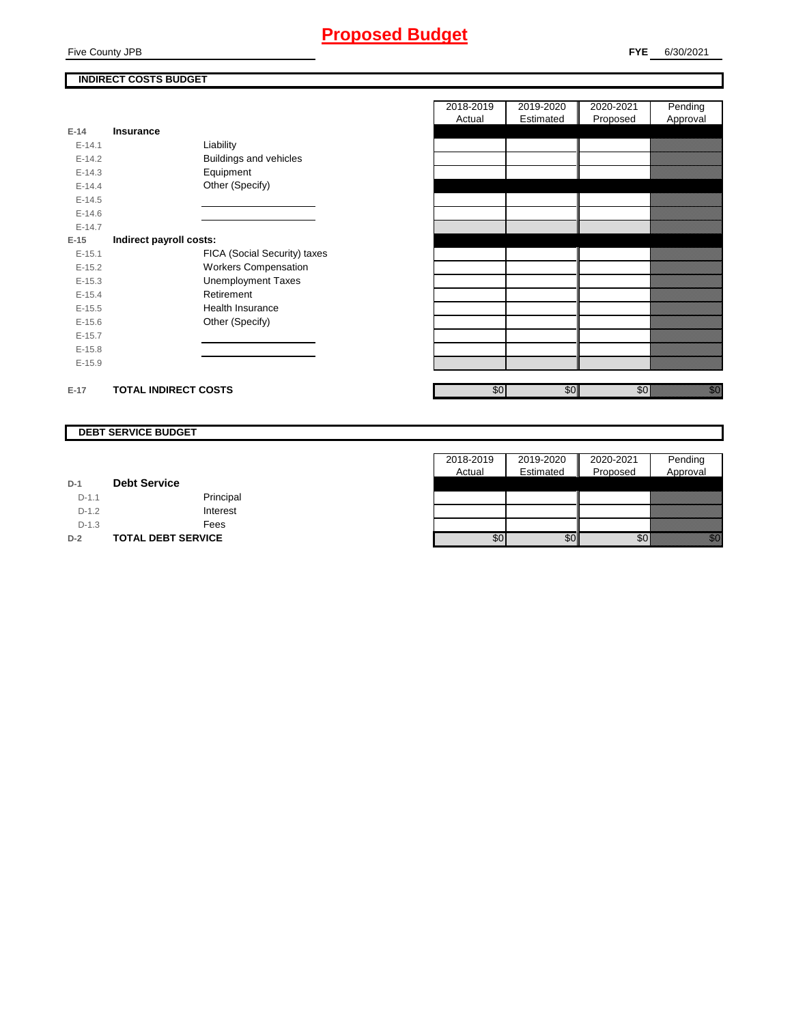## **Proposed Budget**

### **INDIRECT COSTS BUDGET**

|            |                             |                               | 20 I V<br>A |
|------------|-----------------------------|-------------------------------|-------------|
| $E-14$     | <b>Insurance</b>            |                               |             |
| $E-14.1$   |                             | Liability                     |             |
| $E - 14.2$ |                             | <b>Buildings and vehicles</b> |             |
| $E-14.3$   |                             | Equipment                     |             |
| $E-14.4$   |                             | Other (Specify)               |             |
| $E-14.5$   |                             |                               |             |
| $E-14.6$   |                             |                               |             |
| $E-14.7$   |                             |                               |             |
| $E-15$     | Indirect payroll costs:     |                               |             |
| $E-15.1$   |                             | FICA (Social Security) taxes  |             |
| $E-15.2$   |                             | <b>Workers Compensation</b>   |             |
| $E-15.3$   |                             | <b>Unemployment Taxes</b>     |             |
| $E-15.4$   |                             | Retirement                    |             |
| $E-15.5$   |                             | Health Insurance              |             |
| $E-15.6$   |                             | Other (Specify)               |             |
| $E-15.7$   |                             |                               |             |
| $E-15.8$   |                             |                               |             |
| $E-15.9$   |                             |                               |             |
| $E-17$     | <b>TOTAL INDIRECT COSTS</b> |                               |             |

| <b>DEBT SERVICE BUDGET</b> |
|----------------------------|
|----------------------------|

| $D-1$  | <b>Debt Service</b> |           |
|--------|---------------------|-----------|
| $D-11$ |                     | Principal |
| D 1 2  |                     | Interest  |

| $D-2$   | <b>TOTAL DEBT SERVICE</b> |
|---------|---------------------------|
| $D-1.3$ | Fees                      |
| $D-12$  | Interest                  |
| .       | $\blacksquare$            |

| 2018-2019 | 2019-2020 | 2020-2021 | Pending  |
|-----------|-----------|-----------|----------|
| Actual    | Estimated | Proposed  | Approval |
|           |           |           |          |
|           |           |           |          |
|           |           |           |          |
|           |           |           |          |
|           |           |           |          |
|           |           |           |          |
|           |           |           |          |
|           |           |           |          |
|           |           |           |          |
|           |           |           |          |
|           |           |           |          |
|           |           |           |          |
|           |           |           |          |
|           |           |           |          |
|           |           |           |          |
|           |           |           |          |
|           |           |           |          |
|           |           |           |          |
|           |           |           |          |
|           |           |           |          |
|           |           |           |          |
| \$0       | \$0       | \$0       |          |

| 2018-2019 | 2019-2020 | 2020-2021 | Pending  |
|-----------|-----------|-----------|----------|
| Actual    | Estimated | Proposed  | Approval |
|           |           |           |          |
|           |           |           |          |
|           |           |           |          |
|           |           |           |          |
|           |           |           |          |